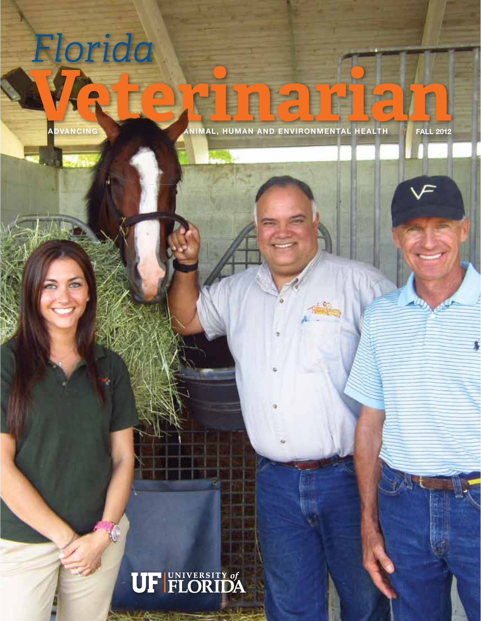# *Florida*

ADVANCING ANIMAL, HUMAN AND ENVIRONMENTAL HEALTH **FALL** 2012 ADVANCING ANIMAL, HUMAN AND ENVIRONMENTAL HEALTH

fall 2012

į

## UF FLORIDA

Ó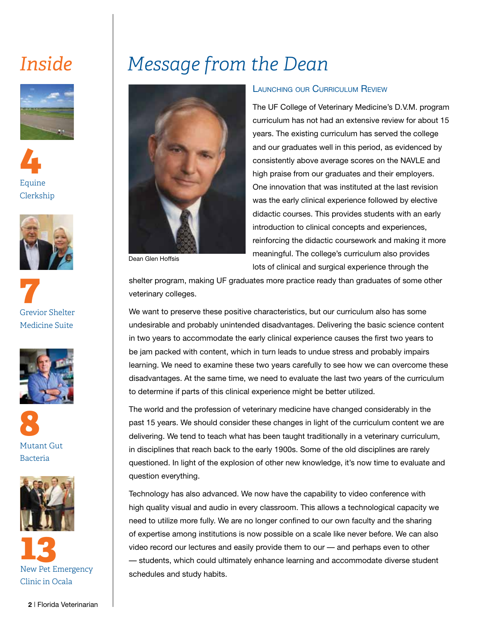### *Inside*



**4** Equine

Clerkship









Mutant Gut Bacteria



**13** New Pet Emergency Clinic in Ocala

### *Message from the Dean*



Dean Glen Hoffsis

#### Launching our Curriculum Review

The UF College of Veterinary Medicine's D.V.M. program curriculum has not had an extensive review for about 15 years. The existing curriculum has served the college and our graduates well in this period, as evidenced by consistently above average scores on the NAVLE and high praise from our graduates and their employers. One innovation that was instituted at the last revision was the early clinical experience followed by elective didactic courses. This provides students with an early introduction to clinical concepts and experiences, reinforcing the didactic coursework and making it more meaningful. The college's curriculum also provides lots of clinical and surgical experience through the

shelter program, making UF graduates more practice ready than graduates of some other veterinary colleges.

We want to preserve these positive characteristics, but our curriculum also has some undesirable and probably unintended disadvantages. Delivering the basic science content in two years to accommodate the early clinical experience causes the first two years to be jam packed with content, which in turn leads to undue stress and probably impairs learning. We need to examine these two years carefully to see how we can overcome these disadvantages. At the same time, we need to evaluate the last two years of the curriculum to determine if parts of this clinical experience might be better utilized.

The world and the profession of veterinary medicine have changed considerably in the past 15 years. We should consider these changes in light of the curriculum content we are delivering. We tend to teach what has been taught traditionally in a veterinary curriculum, in disciplines that reach back to the early 1900s. Some of the old disciplines are rarely questioned. In light of the explosion of other new knowledge, it's now time to evaluate and question everything.

Technology has also advanced. We now have the capability to video conference with high quality visual and audio in every classroom. This allows a technological capacity we need to utilize more fully. We are no longer confined to our own faculty and the sharing of expertise among institutions is now possible on a scale like never before. We can also video record our lectures and easily provide them to our — and perhaps even to other — students, which could ultimately enhance learning and accommodate diverse student schedules and study habits.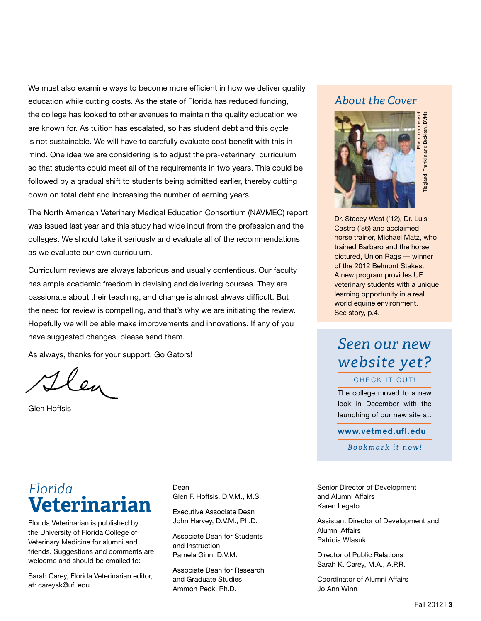We must also examine ways to become more efficient in how we deliver quality education while cutting costs. As the state of Florida has reduced funding, the college has looked to other avenues to maintain the quality education we are known for. As tuition has escalated, so has student debt and this cycle is not sustainable. We will have to carefully evaluate cost benefit with this in mind. One idea we are considering is to adjust the pre-veterinary curriculum so that students could meet all of the requirements in two years. This could be followed by a gradual shift to students being admitted earlier, thereby cutting down on total debt and increasing the number of earning years.

The North American Veterinary Medical Education Consortium (NAVMEC) report was issued last year and this study had wide input from the profession and the colleges. We should take it seriously and evaluate all of the recommendations as we evaluate our own curriculum.

Curriculum reviews are always laborious and usually contentious. Our faculty has ample academic freedom in devising and delivering courses. They are passionate about their teaching, and change is almost always difficult. But the need for review is compelling, and that's why we are initiating the review. Hopefully we will be able make improvements and innovations. If any of you have suggested changes, please send them.

As always, thanks for your support. Go Gators!

Llen

Glen Hoffsis

#### *About the Cover*



Dr. Stacey West ('12), Dr. Luis Castro ('86) and acclaimed horse trainer, Michael Matz, who trained Barbaro and the horse pictured, Union Rags — winner of the 2012 Belmont Stakes. A new program provides UF veterinary students with a unique learning opportunity in a real world equine environment. See story, p.4. **Book Mark Industry Court 2013**<br>
Bookmark is the process of the process of the property of the property of the property of the property of the property of the property of the property of the property of the property of the

### *Seen our new website yet?*

CHECK IT OUT!

The college moved to a new look in December with the launching of our new site at:

www.vetmed.ufl.edu

#### *Florida* **Veterinarian**

Florida Veterinarian is published by the University of Florida College of Veterinary Medicine for alumni and friends. Suggestions and comments are welcome and should be emailed to:

Sarah Carey, Florida Veterinarian editor, at: careysk@ufl.edu.

Dean Glen F. Hoffsis, D.V.M., M.S.

Executive Associate Dean John Harvey, D.V.M., Ph.D.

Associate Dean for Students and Instruction Pamela Ginn, D.V.M.

Associate Dean for Research and Graduate Studies Ammon Peck, Ph.D.

Senior Director of Development and Alumni Affairs Karen Legato

Assistant Director of Development and Alumni Affairs Patricia Wlasuk

Director of Public Relations Sarah K. Carey, M.A., A.P.R.

Coordinator of Alumni Affairs Jo Ann Winn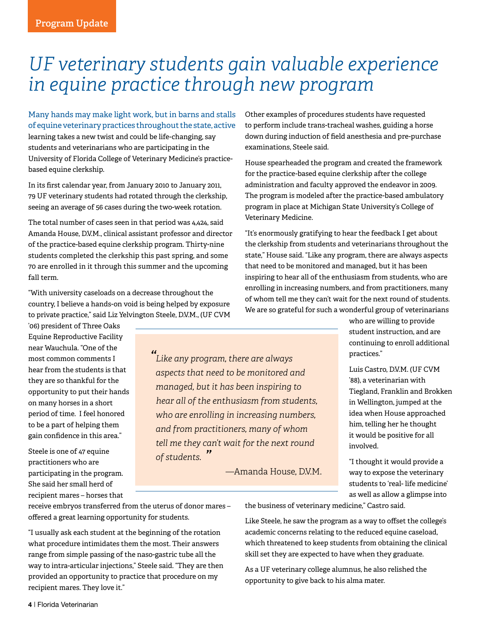### *UF veterinary students gain valuable experience in equine practice through new program*

#### Many hands may make light work, but in barns and stalls of equine veterinary practices throughout the state, active

learning takes a new twist and could be life-changing, say students and veterinarians who are participating in the University of Florida College of Veterinary Medicine's practicebased equine clerkship.

In its first calendar year, from January 2010 to January 2011, 79 UF veterinary students had rotated through the clerkship, seeing an average of 56 cases during the two-week rotation.

The total number of cases seen in that period was 4,424, said Amanda House, D.V.M., clinical assistant professor and director of the practice-based equine clerkship program. Thirty-nine students completed the clerkship this past spring, and some 70 are enrolled in it through this summer and the upcoming fall term.

"With university caseloads on a decrease throughout the country, I believe a hands-on void is being helped by exposure to private practice," said Liz Yelvington Steele, D.V.M., (UF CVM

'06) president of Three Oaks Equine Reproductive Facility near Wauchula. "One of the most common comments I hear from the students is that they are so thankful for the opportunity to put their hands on many horses in a short period of time. I feel honored to be a part of helping them gain confidence in this area."

Steele is one of 47 equine practitioners who are participating in the program. She said her small herd of recipient mares – horses that

Other examples of procedures students have requested to perform include trans-tracheal washes, guiding a horse down during induction of field anesthesia and pre-purchase examinations, Steele said.

House spearheaded the program and created the framework for the practice-based equine clerkship after the college administration and faculty approved the endeavor in 2009. The program is modeled after the practice-based ambulatory program in place at Michigan State University's College of Veterinary Medicine.

"It's enormously gratifying to hear the feedback I get about the clerkship from students and veterinarians throughout the state," House said. "Like any program, there are always aspects that need to be monitored and managed, but it has been inspiring to hear all of the enthusiasm from students, who are enrolling in increasing numbers, and from practitioners, many of whom tell me they can't wait for the next round of students. We are so grateful for such a wonderful group of veterinarians

*" Like any program, there are always aspects that need to be monitored and managed, but it has been inspiring to hear all of the enthusiasm from students, who are enrolling in increasing numbers, and from practitioners, many of whom tell me they can't wait for the next round of students. "* 

—Amanda House, D.V.M.

who are willing to provide student instruction, and are continuing to enroll additional practices."

Luis Castro, D.V.M. (UF CVM '88), a veterinarian with Tiegland, Franklin and Brokken in Wellington, jumped at the idea when House approached him, telling her he thought it would be positive for all involved.

"I thought it would provide a way to expose the veterinary students to 'real- life medicine' as well as allow a glimpse into

receive embryos transferred from the uterus of donor mares – offered a great learning opportunity for students.

"I usually ask each student at the beginning of the rotation what procedure intimidates them the most. Their answers range from simple passing of the naso-gastric tube all the way to intra-articular injections," Steele said. "They are then provided an opportunity to practice that procedure on my recipient mares. They love it."

the business of veterinary medicine," Castro said.

Like Steele, he saw the program as a way to offset the college's academic concerns relating to the reduced equine caseload, which threatened to keep students from obtaining the clinical skill set they are expected to have when they graduate.

As a UF veterinary college alumnus, he also relished the opportunity to give back to his alma mater.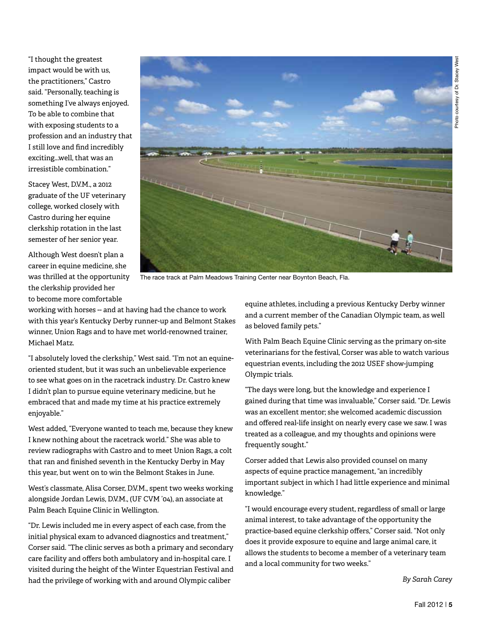"I thought the greatest impact would be with us, the practitioners," Castro said. "Personally, teaching is something I've always enjoyed. To be able to combine that with exposing students to a profession and an industry that I still love and find incredibly exciting...well, that was an irresistible combination."

Stacey West, D.V.M., a 2012 graduate of the UF veterinary college, worked closely with Castro during her equine clerkship rotation in the last semester of her senior year.

Although West doesn't plan a career in equine medicine, she was thrilled at the opportunity the clerkship provided her to become more comfortable



The race track at Palm Meadows Training Center near Boynton Beach, Fla.

working with horses -- and at having had the chance to work with this year's Kentucky Derby runner-up and Belmont Stakes winner, Union Rags and to have met world-renowned trainer, Michael Matz.

"I absolutely loved the clerkship," West said. "I'm not an equineoriented student, but it was such an unbelievable experience to see what goes on in the racetrack industry. Dr. Castro knew I didn't plan to pursue equine veterinary medicine, but he embraced that and made my time at his practice extremely enjoyable."

West added, "Everyone wanted to teach me, because they knew I knew nothing about the racetrack world." She was able to review radiographs with Castro and to meet Union Rags, a colt that ran and finished seventh in the Kentucky Derby in May this year, but went on to win the Belmont Stakes in June.

West's classmate, Alisa Corser, D.V.M., spent two weeks working alongside Jordan Lewis, D.V.M., (UF CVM '04), an associate at Palm Beach Equine Clinic in Wellington.

"Dr. Lewis included me in every aspect of each case, from the initial physical exam to advanced diagnostics and treatment," Corser said. "The clinic serves as both a primary and secondary care facility and offers both ambulatory and in-hospital care. I visited during the height of the Winter Equestrian Festival and had the privilege of working with and around Olympic caliber

equine athletes, including a previous Kentucky Derby winner and a current member of the Canadian Olympic team, as well as beloved family pets."

With Palm Beach Equine Clinic serving as the primary on-site veterinarians for the festival, Corser was able to watch various equestrian events, including the 2012 USEF show-jumping Olympic trials.

"The days were long, but the knowledge and experience I gained during that time was invaluable," Corser said. "Dr. Lewis was an excellent mentor; she welcomed academic discussion and offered real-life insight on nearly every case we saw. I was treated as a colleague, and my thoughts and opinions were frequently sought."

Corser added that Lewis also provided counsel on many aspects of equine practice management, "an incredibly important subject in which I had little experience and minimal knowledge."

"I would encourage every student, regardless of small or large animal interest, to take advantage of the opportunity the practice-based equine clerkship offers," Corser said. "Not only does it provide exposure to equine and large animal care, it allows the students to become a member of a veterinary team and a local community for two weeks."

*By Sarah Carey*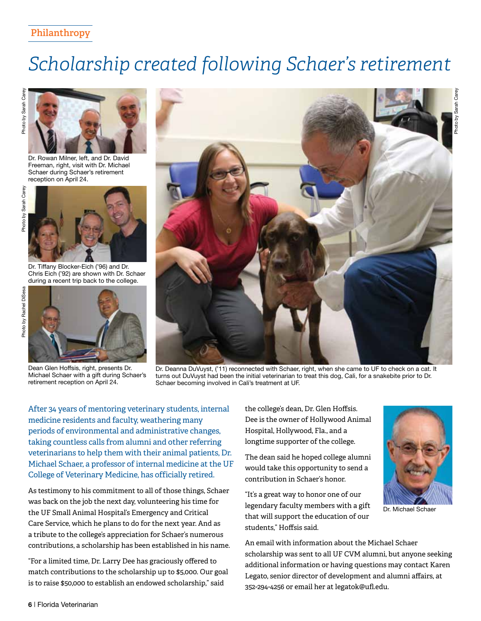#### **Philanthropy**

### *Scholarship created following Schaer's retirement*



Dr. Rowan Milner, left, and Dr. David Freeman, right, visit with Dr. Michael Schaer during Schaer's retirement reception on April 24.



Dr. Tiffany Blocker-Eich ('96) and Dr. Chris Eich ('92) are shown with Dr. Schaer during a recent trip back to the college.



Dean Glen Hoffsis, right, presents Dr. Michael Schaer with a gift during Schaer's retirement reception on April 24.



Dr. Deanna DuVuyst, ('11) reconnected with Schaer, right, when she came to UF to check on a cat. It turns out DuVuyst had been the initial veterinarian to treat this dog, Cali, for a snakebite prior to Dr. Schaer becoming involved in Cali's treatment at UF.

After 34 years of mentoring veterinary students, internal medicine residents and faculty, weathering many periods of environmental and administrative changes, taking countless calls from alumni and other referring veterinarians to help them with their animal patients, Dr. Michael Schaer, a professor of internal medicine at the UF College of Veterinary Medicine, has officially retired.

As testimony to his commitment to all of those things, Schaer was back on the job the next day, volunteering his time for the UF Small Animal Hospital's Emergency and Critical Care Service, which he plans to do for the next year. And as a tribute to the college's appreciation for Schaer's numerous contributions, a scholarship has been established in his name.

"For a limited time, Dr. Larry Dee has graciously offered to match contributions to the scholarship up to \$5,000. Our goal is to raise \$50,000 to establish an endowed scholarship," said

the college's dean, Dr. Glen Hoffsis. Dee is the owner of Hollywood Animal Hospital, Hollywood, Fla., and a longtime supporter of the college.

The dean said he hoped college alumni would take this opportunity to send a contribution in Schaer's honor.

"It's a great way to honor one of our legendary faculty members with a gift that will support the education of our students," Hoffsis said.



Dr. Michael Schaer

An email with information about the Michael Schaer scholarship was sent to all UF CVM alumni, but anyone seeking additional information or having questions may contact Karen Legato, senior director of development and alumni affairs, at 352-294-4256 or email her at legatok@ufl.edu.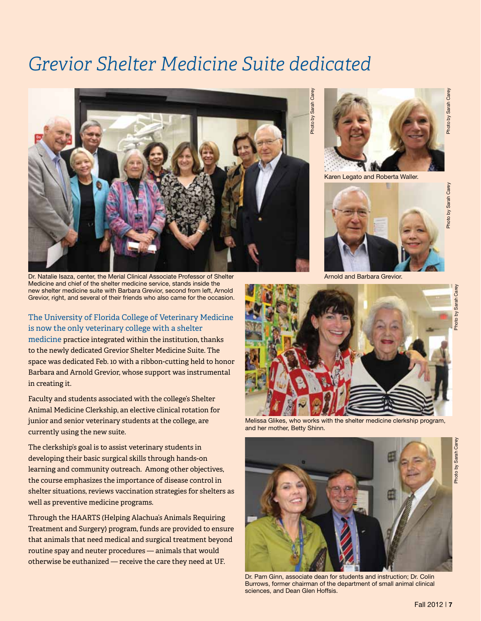### *Grevior Shelter Medicine Suite dedicated*



Dr. Natalie Isaza, center, the Merial Clinical Associate Professor of Shelter Medicine and chief of the shelter medicine service, stands inside the new shelter medicine suite with Barbara Grevior, second from left, Arnold Grevior, right, and several of their friends who also came for the occasion.

The University of Florida College of Veterinary Medicine is now the only veterinary college with a shelter medicine practice integrated within the institution, thanks to the newly dedicated Grevior Shelter Medicine Suite. The

space was dedicated Feb. 10 with a ribbon-cutting held to honor Barbara and Arnold Grevior, whose support was instrumental in creating it.

Faculty and students associated with the college's Shelter Animal Medicine Clerkship, an elective clinical rotation for junior and senior veterinary students at the college, are currently using the new suite.

The clerkship's goal is to assist veterinary students in developing their basic surgical skills through hands-on learning and community outreach. Among other objectives, the course emphasizes the importance of disease control in shelter situations, reviews vaccination strategies for shelters as well as preventive medicine programs.

Through the HAARTS (Helping Alachua's Animals Requiring Treatment and Surgery) program, funds are provided to ensure that animals that need medical and surgical treatment beyond routine spay and neuter procedures — animals that would otherwise be euthanized — receive the care they need at UF.

Photo by Sarah Care



Karen Legato and Roberta Waller.





Photo by Sarah Carey

Photo by Sarah Carey

Melissa Glikes, who works with the shelter medicine clerkship program, and her mother, Betty Shinn.



Dr. Pam Ginn, associate dean for students and instruction; Dr. Colin Burrows, former chairman of the department of small animal clinical<br>sciences, and Dean Glen Hoffsis.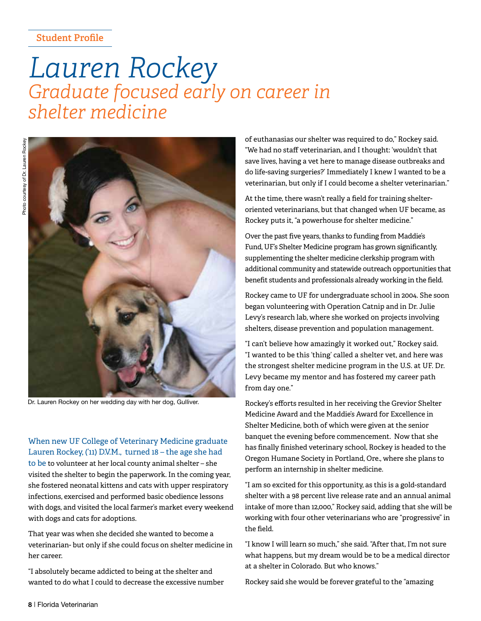#### **Student Profile**

### *Lauren Rockey Graduate focused early on career in shelter medicine*



Dr. Lauren Rockey on her wedding day with her dog, Gulliver.

When new UF College of Veterinary Medicine graduate Lauren Rockey, ('11) D.V.M., turned 18 – the age she had to be to volunteer at her local county animal shelter – she visited the shelter to begin the paperwork. In the coming year, she fostered neonatal kittens and cats with upper respiratory infections, exercised and performed basic obedience lessons with dogs, and visited the local farmer's market every weekend with dogs and cats for adoptions.

That year was when she decided she wanted to become a veterinarian- but only if she could focus on shelter medicine in her career.

"I absolutely became addicted to being at the shelter and wanted to do what I could to decrease the excessive number of euthanasias our shelter was required to do," Rockey said. "We had no staff veterinarian, and I thought: 'wouldn't that save lives, having a vet here to manage disease outbreaks and do life-saving surgeries?' Immediately I knew I wanted to be a veterinarian, but only if I could become a shelter veterinarian."

At the time, there wasn't really a field for training shelteroriented veterinarians, but that changed when UF became, as Rockey puts it, "a powerhouse for shelter medicine."

Over the past five years, thanks to funding from Maddie's Fund, UF's Shelter Medicine program has grown significantly, supplementing the shelter medicine clerkship program with additional community and statewide outreach opportunities that benefit students and professionals already working in the field.

Rockey came to UF for undergraduate school in 2004. She soon began volunteering with Operation Catnip and in Dr. Julie Levy's research lab, where she worked on projects involving shelters, disease prevention and population management.

"I can't believe how amazingly it worked out," Rockey said. "I wanted to be this 'thing' called a shelter vet, and here was the strongest shelter medicine program in the U.S. at UF. Dr. Levy became my mentor and has fostered my career path from day one."

Rockey's efforts resulted in her receiving the Grevior Shelter Medicine Award and the Maddie's Award for Excellence in Shelter Medicine, both of which were given at the senior banquet the evening before commencement. Now that she has finally finished veterinary school, Rockey is headed to the Oregon Humane Society in Portland, Ore., where she plans to perform an internship in shelter medicine.

"I am so excited for this opportunity, as this is a gold-standard shelter with a 98 percent live release rate and an annual animal intake of more than 12,000," Rockey said, adding that she will be working with four other veterinarians who are "progressive" in the field.

"I know I will learn so much," she said. "After that, I'm not sure what happens, but my dream would be to be a medical director at a shelter in Colorado. But who knows."

Rockey said she would be forever grateful to the "amazing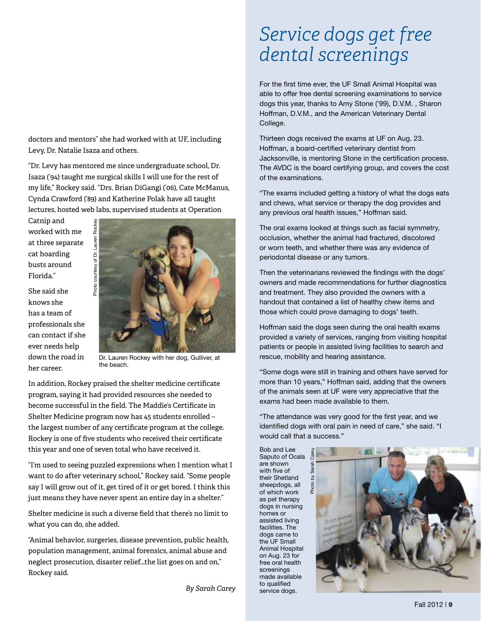doctors and mentors" she had worked with at UF, including Levy, Dr. Natalie Isaza and others.

"Dr. Levy has mentored me since undergraduate school, Dr. Isaza ('94) taught me surgical skills I will use for the rest of my life," Rockey said. "Drs. Brian DiGangi ('06), Cate McManus, Cynda Crawford ('89) and Katherine Polak have all taught lectures, hosted web labs, supervised students at Operation

Catnip and worked with me at three separate cat hoarding busts around Florida."

She said she knows she has a team of professionals she can contact if she ever needs help down the road in her career.



Dr. Lauren Rockey with her dog, Gulliver, at the beach.

In addition, Rockey praised the shelter medicine certificate program, saying it had provided resources she needed to become successful in the field. The Maddie's Certificate in Shelter Medicine program now has 45 students enrolled – the largest number of any certificate program at the college. Rockey is one of five students who received their certificate this year and one of seven total who have received it.

"I'm used to seeing puzzled expressions when I mention what I want to do after veterinary school," Rockey said. "Some people say I will grow out of it, get tired of it or get bored. I think this just means they have never spent an entire day in a shelter."

Shelter medicine is such a diverse field that there's no limit to what you can do, she added.

"Animal behavior, surgeries, disease prevention, public health, population management, animal forensics, animal abuse and neglect prosecution, disaster relief…the list goes on and on," Rockey said.

*By Sarah Carey*

### *Service dogs get free dental screenings*

For the first time ever, the UF Small Animal Hospital was able to offer free dental screening examinations to service dogs this year, thanks to Amy Stone ('99), D.V.M. , Sharon Hoffman, D.V.M., and the American Veterinary Dental College.

Thirteen dogs received the exams at UF on Aug. 23. Hoffman, a board-certified veterinary dentist from Jacksonville, is mentoring Stone in the certification process. The AVDC is the board certifying group, and covers the cost of the examinations.

"The exams included getting a history of what the dogs eats and chews, what service or therapy the dog provides and any previous oral health issues," Hoffman said.

The oral exams looked at things such as facial symmetry, occlusion, whether the animal had fractured, discolored or worn teeth, and whether there was any evidence of periodontal disease or any tumors.

Then the veterinarians reviewed the findings with the dogs' owners and made recommendations for further diagnostics and treatment. They also provided the owners with a handout that contained a list of healthy chew items and those which could prove damaging to dogs' teeth.

Hoffman said the dogs seen during the oral health exams provided a variety of services, ranging from visiting hospital patients or people in assisted living facilities to search and rescue, mobility and hearing assistance.

"Some dogs were still in training and others have served for more than 10 years," Hoffman said, adding that the owners of the animals seen at UF were very appreciative that the exams had been made available to them.

"The attendance was very good for the first year, and we identified dogs with oral pain in need of care," she said. "I would call that a success."

Bob and Lee Saputo of Ocala are shown with five of their Shetland sheepdogs, all of which work as pet therapy dogs in nursing homes or assisted living facilities. The dogs came to the UF Small Animal Hospital on Aug. 23 for free oral health screenings made available to qualified service dogs.

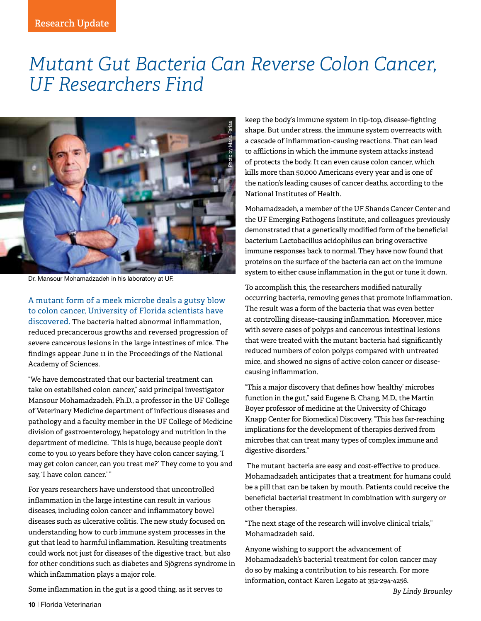#### *Mutant Gut Bacteria Can Reverse Colon Cancer, UF Researchers Find*



Dr. Mansour Mohamadzadeh in his laboratory at UF.

A mutant form of a meek microbe deals a gutsy blow to colon cancer, University of Florida scientists have discovered. The bacteria halted abnormal inflammation, reduced precancerous growths and reversed progression of severe cancerous lesions in the large intestines of mice. The findings appear June 11 in the Proceedings of the National Academy of Sciences.

"We have demonstrated that our bacterial treatment can take on established colon cancer," said principal investigator Mansour Mohamadzadeh, Ph.D., a professor in the UF College of Veterinary Medicine department of infectious diseases and pathology and a faculty member in the UF College of Medicine division of gastroenterology, hepatology and nutrition in the department of medicine. "This is huge, because people don't come to you 10 years before they have colon cancer saying, 'I may get colon cancer, can you treat me?' They come to you and say, 'I have colon cancer.' "

For years researchers have understood that uncontrolled inflammation in the large intestine can result in various diseases, including colon cancer and inflammatory bowel diseases such as ulcerative colitis. The new study focused on understanding how to curb immune system processes in the gut that lead to harmful inflammation. Resulting treatments could work not just for diseases of the digestive tract, but also for other conditions such as diabetes and Sjögrens syndrome in which inflammation plays a major role.

keep the body's immune system in tip-top, disease-fighting shape. But under stress, the immune system overreacts with a cascade of inflammation-causing reactions. That can lead to afflictions in which the immune system attacks instead of protects the body. It can even cause colon cancer, which kills more than 50,000 Americans every year and is one of the nation's leading causes of cancer deaths, according to the National Institutes of Health.

Mohamadzadeh, a member of the UF Shands Cancer Center and the UF Emerging Pathogens Institute, and colleagues previously demonstrated that a genetically modified form of the beneficial bacterium Lactobacillus acidophilus can bring overactive immune responses back to normal. They have now found that proteins on the surface of the bacteria can act on the immune system to either cause inflammation in the gut or tune it down.

To accomplish this, the researchers modified naturally occurring bacteria, removing genes that promote inflammation. The result was a form of the bacteria that was even better at controlling disease-causing inflammation. Moreover, mice with severe cases of polyps and cancerous intestinal lesions that were treated with the mutant bacteria had significantly reduced numbers of colon polyps compared with untreated mice, and showed no signs of active colon cancer or diseasecausing inflammation.

"This a major discovery that defines how 'healthy' microbes function in the gut," said Eugene B. Chang, M.D., the Martin Boyer professor of medicine at the University of Chicago Knapp Center for Biomedical Discovery. "This has far-reaching implications for the development of therapies derived from microbes that can treat many types of complex immune and digestive disorders."

 The mutant bacteria are easy and cost-effective to produce. Mohamadzadeh anticipates that a treatment for humans could be a pill that can be taken by mouth. Patients could receive the beneficial bacterial treatment in combination with surgery or other therapies.

"The next stage of the research will involve clinical trials," Mohamadzadeh said.

Anyone wishing to support the advancement of Mohamadzadeh's bacterial treatment for colon cancer may do so by making a contribution to his research. For more information, contact Karen Legato at 352-294-4256.

Some inflammation in the gut is a good thing, as it serves to

*By Lindy Brounley*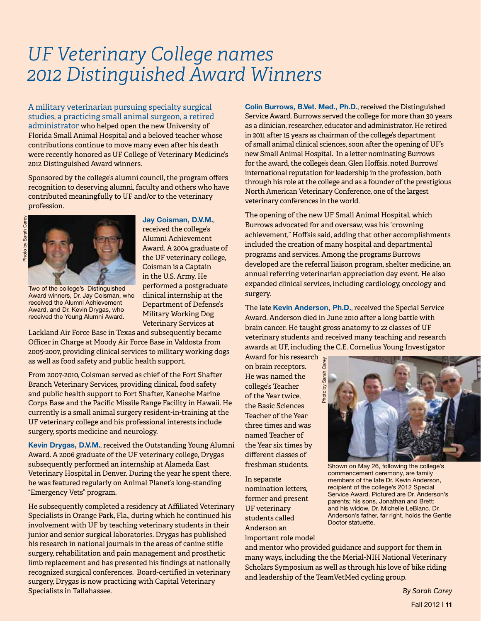### *UF Veterinary College names 2012 Distinguished Award Winners*

A military veterinarian pursuing specialty surgical studies, a practicing small animal surgeon, a retired administrator who helped open the new University of Florida Small Animal Hospital and a beloved teacher whose contributions continue to move many even after his death were recently honored as UF College of Veterinary Medicine's 2012 Distinguished Award winners.

Sponsored by the college's alumni council, the program offers recognition to deserving alumni, faculty and others who have contributed meaningfully to UF and/or to the veterinary profession.



Two of the college's Distinguished Award winners, Dr. Jay Coisman, who received the Alumni Achievement Award, and Dr. Kevin Drygas, who received the Young Alumni Award.

Jay Coisman, D.V.M.,

received the college's Alumni Achievement Award. A 2004 graduate of the UF veterinary college, Coisman is a Captain in the U.S. Army. He performed a postgraduate clinical internship at the Department of Defense's Military Working Dog Veterinary Services at

Lackland Air Force Base in Texas and subsequently became Officer in Charge at Moody Air Force Base in Valdosta from 2005-2007, providing clinical services to military working dogs as well as food safety and public health support.

From 2007-2010, Coisman served as chief of the Fort Shafter Branch Veterinary Services, providing clinical, food safety and public health support to Fort Shafter, Kaneohe Marine Corps Base and the Pacific Missile Range Facility in Hawaii. He currently is a small animal surgery resident-in-training at the UF veterinary college and his professional interests include surgery, sports medicine and neurology.

Kevin Drygas, D.V.M., received the Outstanding Young Alumni Award. A 2006 graduate of the UF veterinary college, Drygas subsequently performed an internship at Alameda East Veterinary Hospital in Denver. During the year he spent there, he was featured regularly on Animal Planet's long-standing "Emergency Vets" program.

He subsequently completed a residency at Affiliated Veterinary Specialists in Orange Park, Fla., during which he continued his involvement with UF by teaching veterinary students in their junior and senior surgical laboratories. Drygas has published his research in national journals in the areas of canine stifle surgery, rehabilitation and pain management and prosthetic limb replacement and has presented his findings at nationally recognized surgical conferences. Board-certified in veterinary surgery, Drygas is now practicing with Capital Veterinary Specialists in Tallahassee.

Colin Burrows, B.Vet. Med., Ph.D., received the Distinguished Service Award. Burrows served the college for more than 30 years as a clinician, researcher, educator and administrator. He retired in 2011 after 15 years as chairman of the college's department of small animal clinical sciences, soon after the opening of UF's new Small Animal Hospital. In a letter nominating Burrows for the award, the college's dean, Glen Hoffsis, noted Burrows' international reputation for leadership in the profession, both through his role at the college and as a founder of the prestigious North American Veterinary Conference, one of the largest veterinary conferences in the world.

The opening of the new UF Small Animal Hospital, which Burrows advocated for and oversaw, was his "crowning achievement," Hoffsis said, adding that other accomplishments included the creation of many hospital and departmental programs and services. Among the programs Burrows developed are the referral liaison program, shelter medicine, an annual referring veterinarian appreciation day event. He also expanded clinical services, including cardiology, oncology and surgery.

The late Kevin Anderson, Ph.D., received the Special Service Award. Anderson died in June 2010 after a long battle with brain cancer. He taught gross anatomy to 22 classes of UF veterinary students and received many teaching and research awards at UF, including the C.E. Cornelius Young Investigator

Award for his research on brain receptors. He was named the college's Teacher of the Year twice, the Basic Sciences Teacher of the Year three times and was named Teacher of the Year six times by different classes of freshman students.

In separate nomination letters, former and present UF veterinary students called Anderson an important role model



Shown on May 26, following the college's commencement ceremony, are family members of the late Dr. Kevin Anderson, recipient of the college's 2012 Special Service Award. Pictured are Dr. Anderson's parents; his sons, Jonathan and Brett; and his widow, Dr. Michelle LeBlanc. Dr. Anderson's father, far right, holds the Gentle Doctor statuette.

and mentor who provided guidance and support for them in many ways, including the the Merial-NIH National Veterinary Scholars Symposium as well as through his love of bike riding and leadership of the TeamVetMed cycling group.

> Fall 2012 | 11 *By Sarah Carey*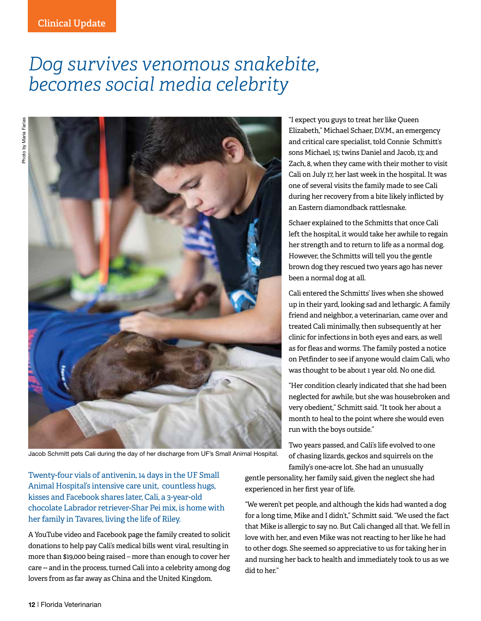### *Dog survives venomous snakebite, becomes social media celebrity*



"I expect you guys to treat her like Queen Elizabeth," Michael Schaer, D.V.M., an emergency and critical care specialist, told Connie Schmitt's sons Michael, 15; twins Daniel and Jacob, 13; and Zach, 8, when they came with their mother to visit Cali on July 17, her last week in the hospital. It was one of several visits the family made to see Cali during her recovery from a bite likely inflicted by an Eastern diamondback rattlesnake.

Schaer explained to the Schmitts that once Cali left the hospital, it would take her awhile to regain her strength and to return to life as a normal dog. However, the Schmitts will tell you the gentle brown dog they rescued two years ago has never been a normal dog at all.

Cali entered the Schmitts' lives when she showed up in their yard, looking sad and lethargic. A family friend and neighbor, a veterinarian, came over and treated Cali minimally, then subsequently at her clinic for infections in both eyes and ears, as well as for fleas and worms. The family posted a notice on Petfinder to see if anyone would claim Cali, who was thought to be about 1 year old. No one did.

"Her condition clearly indicated that she had been neglected for awhile, but she was housebroken and very obedient," Schmitt said. "It took her about a month to heal to the point where she would even run with the boys outside."

Two years passed, and Cali's life evolved to one of chasing lizards, geckos and squirrels on the family's one-acre lot. She had an unusually

Jacob Schmitt pets Cali during the day of her discharge from UF's Small Animal Hospital.

Twenty-four vials of antivenin, 14 days in the UF Small Animal Hospital's intensive care unit, countless hugs, kisses and Facebook shares later, Cali, a 3-year-old chocolate Labrador retriever-Shar Pei mix, is home with her family in Tavares, living the life of Riley.

A YouTube video and Facebook page the family created to solicit donations to help pay Cali's medical bills went viral, resulting in more than \$19,000 being raised – more than enough to cover her care -- and in the process, turned Cali into a celebrity among dog lovers from as far away as China and the United Kingdom.

gentle personality, her family said, given the neglect she had experienced in her first year of life.

"We weren't pet people, and although the kids had wanted a dog for a long time, Mike and I didn't," Schmitt said. "We used the fact that Mike is allergic to say no. But Cali changed all that. We fell in love with her, and even Mike was not reacting to her like he had to other dogs. She seemed so appreciative to us for taking her in and nursing her back to health and immediately took to us as we did to her."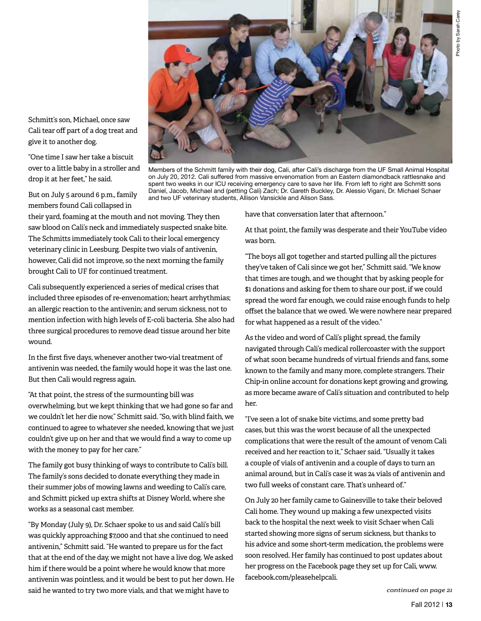Schmitt's son, Michael, once saw Cali tear off part of a dog treat and give it to another dog.

"One time I saw her take a biscuit over to a little baby in a stroller and drop it at her feet," he said.

But on July 5 around 6 p.m., family members found Cali collapsed in

Members of the Schmitt family with their dog, Cali, after Cali's discharge from the UF Small Animal Hospital on July 20, 2012. Cali suffered from massive envenomation from an Eastern diamondback rattlesnake and spent two weeks in our ICU receiving emergency care to save her life. From left to right are Schmitt sons Daniel, Jacob, Michael and (petting Cali) Zach; Dr. Gareth Buckley, Dr. Alessio Vigani, Dr. Michael Schaer

and two UF veterinary students, Allison Vansickle and Alison Sass.

their yard, foaming at the mouth and not moving. They then saw blood on Cali's neck and immediately suspected snake bite. The Schmitts immediately took Cali to their local emergency veterinary clinic in Leesburg. Despite two vials of antivenin, however, Cali did not improve, so the next morning the family brought Cali to UF for continued treatment.

Cali subsequently experienced a series of medical crises that included three episodes of re-envenomation; heart arrhythmias; an allergic reaction to the antivenin; and serum sickness, not to mention infection with high levels of E-coli bacteria. She also had three surgical procedures to remove dead tissue around her bite wound.

In the first five days, whenever another two-vial treatment of antivenin was needed, the family would hope it was the last one. But then Cali would regress again.

"At that point, the stress of the surmounting bill was overwhelming, but we kept thinking that we had gone so far and we couldn't let her die now," Schmitt said. "So, with blind faith, we continued to agree to whatever she needed, knowing that we just couldn't give up on her and that we would find a way to come up with the money to pay for her care."

The family got busy thinking of ways to contribute to Cali's bill. The family's sons decided to donate everything they made in their summer jobs of mowing lawns and weeding to Cali's care, and Schmitt picked up extra shifts at Disney World, where she works as a seasonal cast member.

"By Monday (July 9), Dr. Schaer spoke to us and said Cali's bill was quickly approaching \$7,000 and that she continued to need antivenin," Schmitt said. "He wanted to prepare us for the fact that at the end of the day, we might not have a live dog. We asked him if there would be a point where he would know that more antivenin was pointless, and it would be best to put her down. He said he wanted to try two more vials, and that we might have to

have that conversation later that afternoon."

At that point, the family was desperate and their YouTube video was born.

"The boys all got together and started pulling all the pictures they've taken of Cali since we got her," Schmitt said. "We know that times are tough, and we thought that by asking people for \$1 donations and asking for them to share our post, if we could spread the word far enough, we could raise enough funds to help offset the balance that we owed. We were nowhere near prepared for what happened as a result of the video."

As the video and word of Cali's plight spread, the family navigated through Cali's medical rollercoaster with the support of what soon became hundreds of virtual friends and fans, some known to the family and many more, complete strangers. Their Chip-in online account for donations kept growing and growing, as more became aware of Cali's situation and contributed to help her.

"I've seen a lot of snake bite victims, and some pretty bad cases, but this was the worst because of all the unexpected complications that were the result of the amount of venom Cali received and her reaction to it," Schaer said. "Usually it takes a couple of vials of antivenin and a couple of days to turn an animal around, but in Cali's case it was 24 vials of antivenin and two full weeks of constant care. That's unheard of."

On July 20 her family came to Gainesville to take their beloved Cali home. They wound up making a few unexpected visits back to the hospital the next week to visit Schaer when Cali started showing more signs of serum sickness, but thanks to his advice and some short-term medication, the problems were soon resolved. Her family has continued to post updates about her progress on the Facebook page they set up for Cali, www. facebook.com/pleasehelpcali.

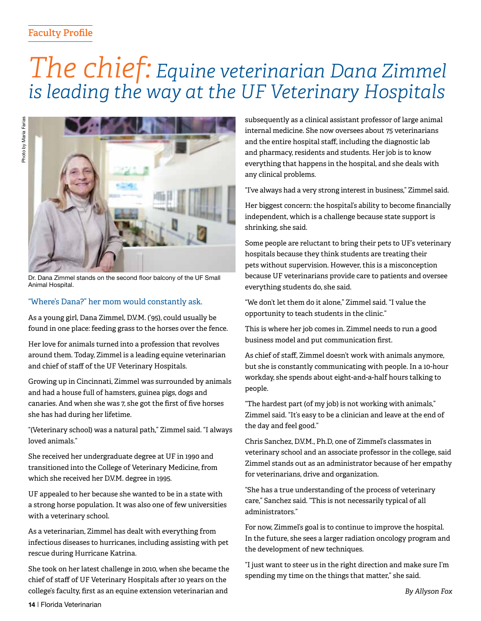#### **Faculty Profile**

### *The chief: Equine veterinarian Dana Zimmel is leading the way at the UF Veterinary Hospitals*



Dr. Dana Zimmel stands on the second floor balcony of the UF Small Animal Hospital.

#### "Where's Dana?" her mom would constantly ask.

As a young girl, Dana Zimmel, D.V.M. ('95), could usually be found in one place: feeding grass to the horses over the fence.

Her love for animals turned into a profession that revolves around them. Today, Zimmel is a leading equine veterinarian and chief of staff of the UF Veterinary Hospitals.

Growing up in Cincinnati, Zimmel was surrounded by animals and had a house full of hamsters, guinea pigs, dogs and canaries. And when she was 7, she got the first of five horses she has had during her lifetime.

"(Veterinary school) was a natural path," Zimmel said. "I always loved animals."

She received her undergraduate degree at UF in 1990 and transitioned into the College of Veterinary Medicine, from which she received her D.V.M. degree in 1995.

UF appealed to her because she wanted to be in a state with a strong horse population. It was also one of few universities with a veterinary school.

As a veterinarian, Zimmel has dealt with everything from infectious diseases to hurricanes, including assisting with pet rescue during Hurricane Katrina.

She took on her latest challenge in 2010, when she became the chief of staff of UF Veterinary Hospitals after 10 years on the college's faculty, first as an equine extension veterinarian and

subsequently as a clinical assistant professor of large animal internal medicine. She now oversees about 75 veterinarians and the entire hospital staff, including the diagnostic lab and pharmacy, residents and students. Her job is to know everything that happens in the hospital, and she deals with any clinical problems.

"I've always had a very strong interest in business," Zimmel said.

Her biggest concern: the hospital's ability to become financially independent, which is a challenge because state support is shrinking, she said.

Some people are reluctant to bring their pets to UF's veterinary hospitals because they think students are treating their pets without supervision. However, this is a misconception because UF veterinarians provide care to patients and oversee everything students do, she said.

"We don't let them do it alone," Zimmel said. "I value the opportunity to teach students in the clinic."

This is where her job comes in. Zimmel needs to run a good business model and put communication first.

As chief of staff, Zimmel doesn't work with animals anymore, but she is constantly communicating with people. In a 10-hour workday, she spends about eight-and-a-half hours talking to people.

"The hardest part (of my job) is not working with animals," Zimmel said. "It's easy to be a clinician and leave at the end of the day and feel good."

Chris Sanchez, D.V.M., Ph.D, one of Zimmel's classmates in veterinary school and an associate professor in the college, said Zimmel stands out as an administrator because of her empathy for veterinarians, drive and organization.

"She has a true understanding of the process of veterinary care," Sanchez said. "This is not necessarily typical of all administrators."

For now, Zimmel's goal is to continue to improve the hospital. In the future, she sees a larger radiation oncology program and the development of new techniques.

"I just want to steer us in the right direction and make sure I'm spending my time on the things that matter," she said.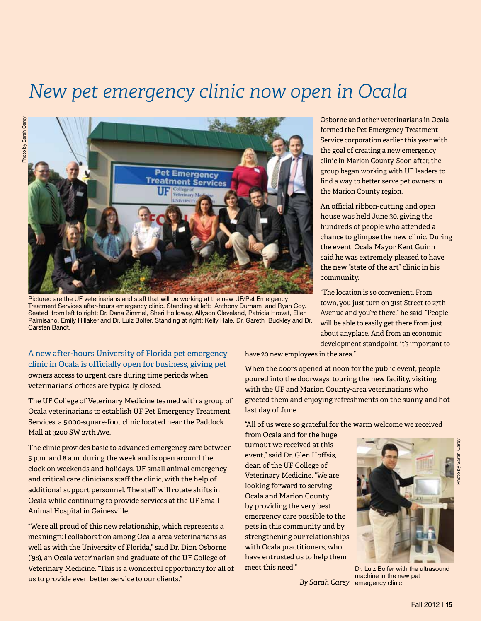### *New pet emergency clinic now open in Ocala*



Pictured are the UF veterinarians and staff that will be working at the new UF/Pet Emergency Treatment Services after-hours emergency clinic. Standing at left: Anthony Durham and Ryan Coy. Seated, from left to right: Dr. Dana Zimmel, Sheri Holloway, Allyson Cleveland, Patricia Hrovat, Ellen Palmisano, Emily Hillaker and Dr. Luiz Bolfer. Standing at right: Kelly Hale, Dr. Gareth Buckley and Dr. Carsten Bandt.

A new after-hours University of Florida pet emergency clinic in Ocala is officially open for business, giving pet owners access to urgent care during time periods when veterinarians' offices are typically closed.

The UF College of Veterinary Medicine teamed with a group of Ocala veterinarians to establish UF Pet Emergency Treatment Services, a 5,000-square-foot clinic located near the Paddock Mall at 3200 SW 27th Ave.

The clinic provides basic to advanced emergency care between 5 p.m. and 8 a.m. during the week and is open around the clock on weekends and holidays. UF small animal emergency and critical care clinicians staff the clinic, with the help of additional support personnel. The staff will rotate shifts in Ocala while continuing to provide services at the UF Small Animal Hospital in Gainesville.

"We're all proud of this new relationship, which represents a meaningful collaboration among Ocala-area veterinarians as well as with the University of Florida," said Dr. Dion Osborne ('98), an Ocala veterinarian and graduate of the UF College of Veterinary Medicine. "This is a wonderful opportunity for all of us to provide even better service to our clients."

formed the Pet Emergency Treatment Service corporation earlier this year with the goal of creating a new emergency clinic in Marion County. Soon after, the group began working with UF leaders to find a way to better serve pet owners in the Marion County region.

Osborne and other veterinarians in Ocala

An official ribbon-cutting and open house was held June 30, giving the hundreds of people who attended a chance to glimpse the new clinic. During the event, Ocala Mayor Kent Guinn said he was extremely pleased to have the new "state of the art" clinic in his community.

"The location is so convenient. From town, you just turn on 31st Street to 27th Avenue and you're there," he said. "People will be able to easily get there from just about anyplace. And from an economic development standpoint, it's important to

have 20 new employees in the area."

When the doors opened at noon for the public event, people poured into the doorways, touring the new facility, visiting with the UF and Marion County-area veterinarians who greeted them and enjoying refreshments on the sunny and hot last day of June.

"All of us were so grateful for the warm welcome we received

from Ocala and for the huge turnout we received at this event," said Dr. Glen Hoffsis, dean of the UF College of Veterinary Medicine. "We are looking forward to serving Ocala and Marion County by providing the very best emergency care possible to the pets in this community and by strengthening our relationships with Ocala practitioners, who have entrusted us to help them meet this need."



*By Sarah Carey* emergency clinic.

Photo by Sarah Carey

Care Sarah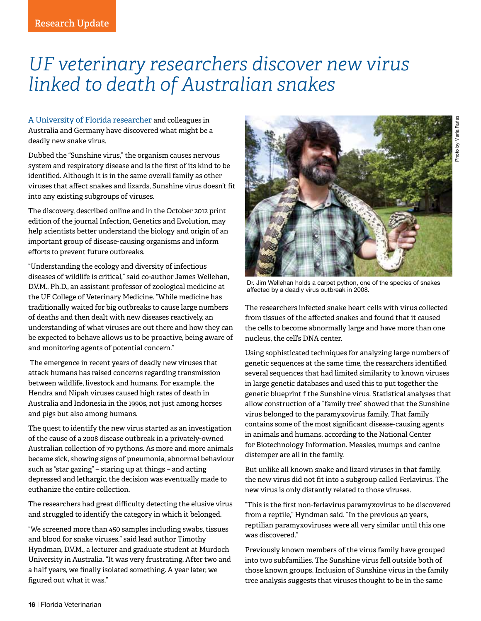### *UF veterinary researchers discover new virus linked to death of Australian snakes*

A University of Florida researcher and colleagues in Australia and Germany have discovered what might be a deadly new snake virus.

Dubbed the "Sunshine virus," the organism causes nervous system and respiratory disease and is the first of its kind to be identified. Although it is in the same overall family as other viruses that affect snakes and lizards, Sunshine virus doesn't fit into any existing subgroups of viruses.

The discovery, described online and in the October 2012 print edition of the journal Infection, Genetics and Evolution, may help scientists better understand the biology and origin of an important group of disease-causing organisms and inform efforts to prevent future outbreaks.

"Understanding the ecology and diversity of infectious diseases of wildlife is critical," said co-author James Wellehan, D.V.M., Ph.D., an assistant professor of zoological medicine at the UF College of Veterinary Medicine. "While medicine has traditionally waited for big outbreaks to cause large numbers of deaths and then dealt with new diseases reactively, an understanding of what viruses are out there and how they can be expected to behave allows us to be proactive, being aware of and monitoring agents of potential concern."

 The emergence in recent years of deadly new viruses that attack humans has raised concerns regarding transmission between wildlife, livestock and humans. For example, the Hendra and Nipah viruses caused high rates of death in Australia and Indonesia in the 1990s, not just among horses and pigs but also among humans.

The quest to identify the new virus started as an investigation of the cause of a 2008 disease outbreak in a privately-owned Australian collection of 70 pythons. As more and more animals became sick, showing signs of pneumonia, abnormal behaviour such as "star gazing" – staring up at things – and acting depressed and lethargic, the decision was eventually made to euthanize the entire collection.

The researchers had great difficulty detecting the elusive virus and struggled to identify the category in which it belonged.

"We screened more than 450 samples including swabs, tissues and blood for snake viruses," said lead author Timothy Hyndman, D.V.M., a lecturer and graduate student at Murdoch University in Australia. "It was very frustrating. After two and a half years, we finally isolated something. A year later, we figured out what it was."



 Photo by Maria Farias Photo by Maria Farias

Dr. Jim Wellehan holds a carpet python, one of the species of snakes affected by a deadly virus outbreak in 2008.

The researchers infected snake heart cells with virus collected from tissues of the affected snakes and found that it caused the cells to become abnormally large and have more than one nucleus, the cell's DNA center.

Using sophisticated techniques for analyzing large numbers of genetic sequences at the same time, the researchers identified several sequences that had limited similarity to known viruses in large genetic databases and used this to put together the genetic blueprint f the Sunshine virus. Statistical analyses that allow construction of a "family tree" showed that the Sunshine virus belonged to the paramyxovirus family. That family contains some of the most significant disease-causing agents in animals and humans, according to the National Center for Biotechnology Information. Measles, mumps and canine distemper are all in the family.

But unlike all known snake and lizard viruses in that family, the new virus did not fit into a subgroup called Ferlavirus. The new virus is only distantly related to those viruses.

"This is the first non-ferlavirus paramyxovirus to be discovered from a reptile," Hyndman said. "In the previous 40 years, reptilian paramyxoviruses were all very similar until this one was discovered."

Previously known members of the virus family have grouped into two subfamilies. The Sunshine virus fell outside both of those known groups. Inclusion of Sunshine virus in the family tree analysis suggests that viruses thought to be in the same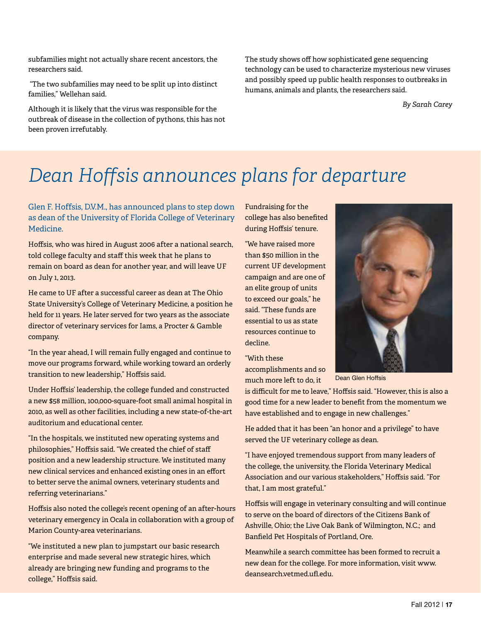subfamilies might not actually share recent ancestors, the researchers said.

 "The two subfamilies may need to be split up into distinct families," Wellehan said.

Although it is likely that the virus was responsible for the outbreak of disease in the collection of pythons, this has not been proven irrefutably.

The study shows off how sophisticated gene sequencing technology can be used to characterize mysterious new viruses and possibly speed up public health responses to outbreaks in humans, animals and plants, the researchers said.

*By Sarah Carey*

### *Dean Hoffsis announces plans for departure*

#### Glen F. Hoffsis, D.V.M., has announced plans to step down as dean of the University of Florida College of Veterinary Medicine.

Hoffsis, who was hired in August 2006 after a national search, told college faculty and staff this week that he plans to remain on board as dean for another year, and will leave UF on July 1, 2013.

He came to UF after a successful career as dean at The Ohio State University's College of Veterinary Medicine, a position he held for 11 years. He later served for two years as the associate director of veterinary services for Iams, a Procter & Gamble company.

"In the year ahead, I will remain fully engaged and continue to move our programs forward, while working toward an orderly transition to new leadership," Hoffsis said.

Under Hoffsis' leadership, the college funded and constructed a new \$58 million, 100,000-square-foot small animal hospital in 2010, as well as other facilities, including a new state-of-the-art auditorium and educational center.

"In the hospitals, we instituted new operating systems and philosophies," Hoffsis said. "We created the chief of staff position and a new leadership structure. We instituted many new clinical services and enhanced existing ones in an effort to better serve the animal owners, veterinary students and referring veterinarians."

Hoffsis also noted the college's recent opening of an after-hours veterinary emergency in Ocala in collaboration with a group of Marion County-area veterinarians.

"We instituted a new plan to jumpstart our basic research enterprise and made several new strategic hires, which already are bringing new funding and programs to the college," Hoffsis said.

Fundraising for the college has also benefited during Hoffsis' tenure.

"We have raised more than \$50 million in the current UF development campaign and are one of an elite group of units to exceed our goals," he said. "These funds are essential to us as state resources continue to decline.

#### "With these

accomplishments and so much more left to do, it



is difficult for me to leave," Hoffsis said. "However, this is also a good time for a new leader to benefit from the momentum we have established and to engage in new challenges."

He added that it has been "an honor and a privilege" to have served the UF veterinary college as dean.

"I have enjoyed tremendous support from many leaders of the college, the university, the Florida Veterinary Medical Association and our various stakeholders," Hoffsis said. "For that, I am most grateful."

Hoffsis will engage in veterinary consulting and will continue to serve on the board of directors of the Citizens Bank of Ashville, Ohio; the Live Oak Bank of Wilmington, N.C.; and Banfield Pet Hospitals of Portland, Ore.

Meanwhile a search committee has been formed to recruit a new dean for the college. For more information, visit www. deansearch.vetmed.ufl.edu.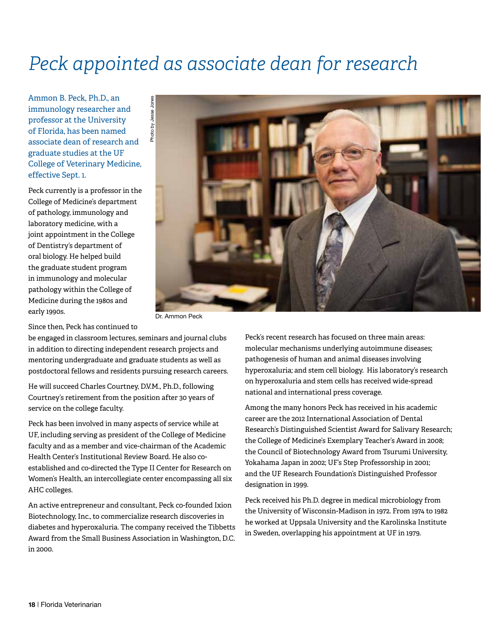### *Peck appointed as associate dean for research*

Ammon B. Peck, Ph.D., an immunology researcher and professor at the University of Florida, has been named associate dean of research and graduate studies at the UF College of Veterinary Medicine, effective Sept. 1.

Peck currently is a professor in the College of Medicine's department of pathology, immunology and laboratory medicine, with a joint appointment in the College of Dentistry's department of oral biology. He helped build the graduate student program in immunology and molecular pathology within the College of Medicine during the 1980s and early 1990s.



Dr. Ammon Peck

Since then, Peck has continued to

be engaged in classroom lectures, seminars and journal clubs in addition to directing independent research projects and mentoring undergraduate and graduate students as well as postdoctoral fellows and residents pursuing research careers.

He will succeed Charles Courtney, D.V.M., Ph.D., following Courtney's retirement from the position after 30 years of service on the college faculty.

Peck has been involved in many aspects of service while at UF, including serving as president of the College of Medicine faculty and as a member and vice-chairman of the Academic Health Center's Institutional Review Board. He also coestablished and co-directed the Type II Center for Research on Women's Health, an intercollegiate center encompassing all six AHC colleges.

An active entrepreneur and consultant, Peck co-founded Ixion Biotechnology, Inc., to commercialize research discoveries in diabetes and hyperoxaluria. The company received the Tibbetts Award from the Small Business Association in Washington, D.C. in 2000.

Peck's recent research has focused on three main areas: molecular mechanisms underlying autoimmune diseases; pathogenesis of human and animal diseases involving hyperoxaluria; and stem cell biology. His laboratory's research on hyperoxaluria and stem cells has received wide-spread national and international press coverage.

Among the many honors Peck has received in his academic career are the 2012 International Association of Dental Research's Distinguished Scientist Award for Salivary Research; the College of Medicine's Exemplary Teacher's Award in 2008; the Council of Biotechnology Award from Tsurumi University, Yokahama Japan in 2002; UF's Step Professorship in 2001; and the UF Research Foundation's Distinguished Professor designation in 1999.

Peck received his Ph.D. degree in medical microbiology from the University of Wisconsin-Madison in 1972. From 1974 to 1982 he worked at Uppsala University and the Karolinska Institute in Sweden, overlapping his appointment at UF in 1979.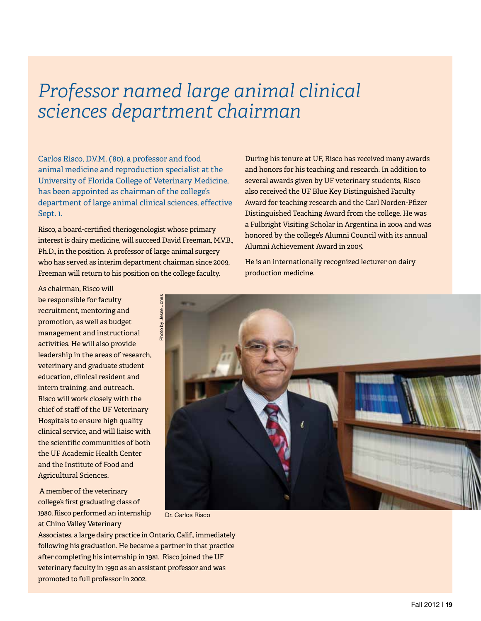### *Professor named large animal clinical sciences department chairman*

Carlos Risco, D.V.M. ('80), a professor and food animal medicine and reproduction specialist at the University of Florida College of Veterinary Medicine, has been appointed as chairman of the college's department of large animal clinical sciences, effective Sept. 1.

Risco, a board-certified theriogenologist whose primary interest is dairy medicine, will succeed David Freeman, M.V.B., Ph.D., in the position. A professor of large animal surgery who has served as interim department chairman since 2009, Freeman will return to his position on the college faculty.

As chairman, Risco will be responsible for faculty recruitment, mentoring and promotion, as well as budget management and instructional activities. He will also provide leadership in the areas of research, veterinary and graduate student education, clinical resident and intern training, and outreach. Risco will work closely with the chief of staff of the UF Veterinary Hospitals to ensure high quality clinical service, and will liaise with the scientific communities of both the UF Academic Health Center and the Institute of Food and Agricultural Sciences.

 A member of the veterinary college's first graduating class of 1980, Risco performed an internship at Chino Valley Veterinary

During his tenure at UF, Risco has received many awards and honors for his teaching and research. In addition to several awards given by UF veterinary students, Risco also received the UF Blue Key Distinguished Faculty Award for teaching research and the Carl Norden-Pfizer Distinguished Teaching Award from the college. He was a Fulbright Visiting Scholar in Argentina in 2004 and was honored by the college's Alumni Council with its annual Alumni Achievement Award in 2005.

He is an internationally recognized lecturer on dairy production medicine.



Dr. Carlos Risco

Associates, a large dairy practice in Ontario, Calif., immediately following his graduation. He became a partner in that practice after completing his internship in 1981. Risco joined the UF veterinary faculty in 1990 as an assistant professor and was promoted to full professor in 2002.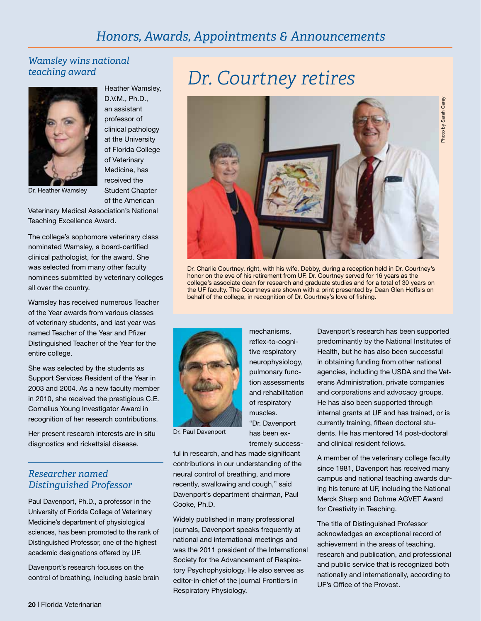#### *Wamsley wins national teaching award*

Heather Wamsley, D.V.M., Ph.D., an assistant professor of clinical pathology at the University of Florida College of Veterinary Medicine, has received the Student Chapter of the American



Dr. Heather Wamsley

Veterinary Medical Association's National Teaching Excellence Award.

The college's sophomore veterinary class nominated Wamsley, a board-certified clinical pathologist, for the award. She was selected from many other faculty nominees submitted by veterinary colleges all over the country.

Wamsley has received numerous Teacher of the Year awards from various classes of veterinary students, and last year was named Teacher of the Year and Pfizer Distinguished Teacher of the Year for the entire college.

She was selected by the students as Support Services Resident of the Year in 2003 and 2004. As a new faculty member in 2010, she received the prestigious C.E. Cornelius Young Investigator Award in recognition of her research contributions.

Her present research interests are in situ diagnostics and rickettsial disease.

#### *Researcher named Distinguished Professor*

Paul Davenport, Ph.D., a professor in the University of Florida College of Veterinary Medicine's department of physiological sciences, has been promoted to the rank of Distinguished Professor, one of the highest academic designations offered by UF.

Davenport's research focuses on the control of breathing, including basic brain

### *Dr. Courtney retires*



Dr. Charlie Courtney, right, with his wife, Debby, during a reception held in Dr. Courtney's honor on the eve of his retirement from UF. Dr. Courtney served for 16 years as the college's associate dean for research and graduate studies and for a total of 30 years on the UF faculty. The Courtneys are shown with a print presented by Dean Glen Hoffsis on behalf of the college, in recognition of Dr. Courtney's love of fishing.



reflex-to-cognitive respiratory neurophysiology, pulmonary function assessments and rehabilitation of respiratory muscles. "Dr. Davenport has been extremely success-

mechanisms,

Dr. Paul Davenport

ful in research, and has made significant contributions in our understanding of the neural control of breathing, and more recently, swallowing and cough," said Davenport's department chairman, Paul Cooke, Ph.D.

Widely published in many professional journals, Davenport speaks frequently at national and international meetings and was the 2011 president of the International Society for the Advancement of Respiratory Psychophysiology. He also serves as editor-in-chief of the journal Frontiers in Respiratory Physiology.

Davenport's research has been supported predominantly by the National Institutes of Health, but he has also been successful in obtaining funding from other national agencies, including the USDA and the Veterans Administration, private companies and corporations and advocacy groups. He has also been supported through internal grants at UF and has trained, or is currently training, fifteen doctoral students. He has mentored 14 post-doctoral and clinical resident fellows.

A member of the veterinary college faculty since 1981, Davenport has received many campus and national teaching awards during his tenure at UF, including the National Merck Sharp and Dohme AGVET Award for Creativity in Teaching.

The title of Distinguished Professor acknowledges an exceptional record of achievement in the areas of teaching, research and publication, and professional and public service that is recognized both nationally and internationally, according to UF's Office of the Provost.

20 | Florida Veterinarian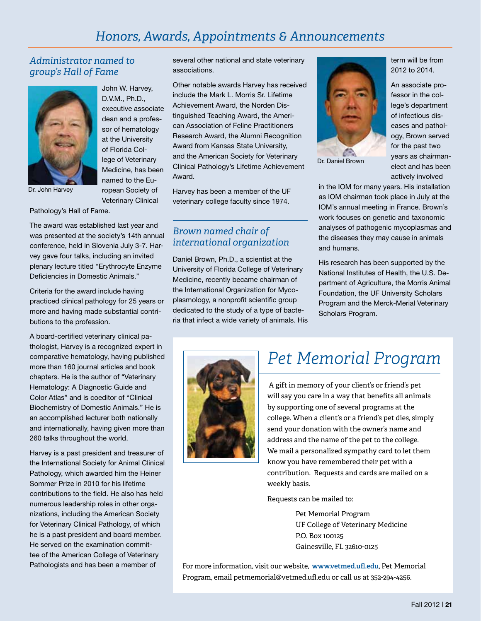#### *Honors, Awards, Appointments & Announcements*

#### *Administrator named to group's Hall of Fame*



D.V.M., Ph.D., executive associate dean and a professor of hematology at the University of Florida College of Veterinary Medicine, has been named to the European Society of Veterinary Clinical

John W. Harvey,

Dr. John Harvey

Pathology's Hall of Fame.

The award was established last year and was presented at the society's 14th annual conference, held in Slovenia July 3-7. Harvey gave four talks, including an invited plenary lecture titled "Erythrocyte Enzyme Deficiencies in Domestic Animals."

Criteria for the award include having practiced clinical pathology for 25 years or more and having made substantial contributions to the profession.

A board-certified veterinary clinical pathologist, Harvey is a recognized expert in comparative hematology, having published more than 160 journal articles and book chapters. He is the author of "Veterinary Hematology: A Diagnostic Guide and Color Atlas" and is coeditor of "Clinical Biochemistry of Domestic Animals." He is an accomplished lecturer both nationally and internationally, having given more than 260 talks throughout the world.

Harvey is a past president and treasurer of the International Society for Animal Clinical Pathology, which awarded him the Heiner Sommer Prize in 2010 for his lifetime contributions to the field. He also has held numerous leadership roles in other organizations, including the American Society for Veterinary Clinical Pathology, of which he is a past president and board member. He served on the examination committee of the American College of Veterinary Pathologists and has been a member of

several other national and state veterinary associations.

Other notable awards Harvey has received include the Mark L. Morris Sr. Lifetime Achievement Award, the Norden Distinguished Teaching Award, the American Association of Feline Practitioners Research Award, the Alumni Recognition Award from Kansas State University, and the American Society for Veterinary Clinical Pathology's Lifetime Achievement Award.

Harvey has been a member of the UF veterinary college faculty since 1974.

#### *Brown named chair of international organization*

Daniel Brown, Ph.D., a scientist at the University of Florida College of Veterinary Medicine, recently became chairman of the International Organization for Mycoplasmology, a nonprofit scientific group dedicated to the study of a type of bacteria that infect a wide variety of animals. His



Dr. Daniel Brown

term will be from 2012 to 2014.

An associate professor in the college's department of infectious diseases and pathology, Brown served for the past two years as chairmanelect and has been actively involved

in the IOM for many years. His installation as IOM chairman took place in July at the IOM's annual meeting in France. Brown's work focuses on genetic and taxonomic analyses of pathogenic mycoplasmas and the diseases they may cause in animals and humans.

His research has been supported by the National Institutes of Health, the U.S. Department of Agriculture, the Morris Animal Foundation, the UF University Scholars Program and the Merck-Merial Veterinary Scholars Program.



### *Pet Memorial Program*

 A gift in memory of your client's or friend's pet will say you care in a way that benefits all animals by supporting one of several programs at the college. When a client's or a friend's pet dies, simply send your donation with the owner's name and address and the name of the pet to the college. We mail a personalized sympathy card to let them know you have remembered their pet with a contribution. Requests and cards are mailed on a weekly basis.

Requests can be mailed to:

Pet Memorial Program UF College of Veterinary Medicine P.O. Box 100125 Gainesville, FL 32610-0125

For more information, visit our website, **www.vetmed.ufl.edu**, Pet Memorial Program, email petmemorial@vetmed.ufl.edu or call us at 352-294-4256.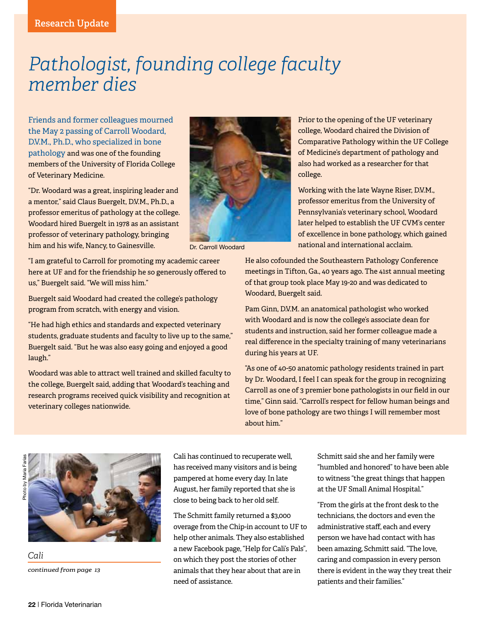### *Pathologist, founding college faculty member dies*

Friends and former colleagues mourned the May 2 passing of Carroll Woodard, D.V.M., Ph.D., who specialized in bone pathology and was one of the founding members of the University of Florida College of Veterinary Medicine.

"Dr. Woodard was a great, inspiring leader and a mentor," said Claus Buergelt, D.V.M., Ph.D., a professor emeritus of pathology at the college. Woodard hired Buergelt in 1978 as an assistant professor of veterinary pathology, bringing him and his wife, Nancy, to Gainesville.

"I am grateful to Carroll for promoting my academic career here at UF and for the friendship he so generously offered to us," Buergelt said. "We will miss him."

Buergelt said Woodard had created the college's pathology program from scratch, with energy and vision.

"He had high ethics and standards and expected veterinary students, graduate students and faculty to live up to the same," Buergelt said. "But he was also easy going and enjoyed a good laugh."

Woodard was able to attract well trained and skilled faculty to the college, Buergelt said, adding that Woodard's teaching and research programs received quick visibility and recognition at veterinary colleges nationwide.



Dr. Carroll Woodard

Prior to the opening of the UF veterinary college, Woodard chaired the Division of Comparative Pathology within the UF College of Medicine's department of pathology and also had worked as a researcher for that college.

Working with the late Wayne Riser, D.V.M., professor emeritus from the University of Pennsylvania's veterinary school, Woodard later helped to establish the UF CVM's center of excellence in bone pathology, which gained national and international acclaim.

He also cofounded the Southeastern Pathology Conference meetings in Tifton, Ga., 40 years ago. The 41st annual meeting of that group took place May 19-20 and was dedicated to Woodard, Buergelt said.

Pam Ginn, D.V.M. an anatomical pathologist who worked with Woodard and is now the college's associate dean for students and instruction, said her former colleague made a real difference in the specialty training of many veterinarians during his years at UF.

"As one of 40-50 anatomic pathology residents trained in part by Dr. Woodard, I feel I can speak for the group in recognizing Carroll as one of 3 premier bone pathologists in our field in our time," Ginn said. "Carroll's respect for fellow human beings and love of bone pathology are two things I will remember most about him."



*Cali continued from page 13* Cali has continued to recuperate well, has received many visitors and is being pampered at home every day. In late August, her family reported that she is close to being back to her old self.

The Schmitt family returned a \$3,000 overage from the Chip-in account to UF to help other animals. They also established a new Facebook page, "Help for Cali's Pals", on which they post the stories of other animals that they hear about that are in need of assistance.

Schmitt said she and her family were "humbled and honored" to have been able to witness "the great things that happen at the UF Small Animal Hospital."

"From the girls at the front desk to the technicians, the doctors and even the administrative staff, each and every person we have had contact with has been amazing, Schmitt said. "The love, caring and compassion in every person there is evident in the way they treat their patients and their families."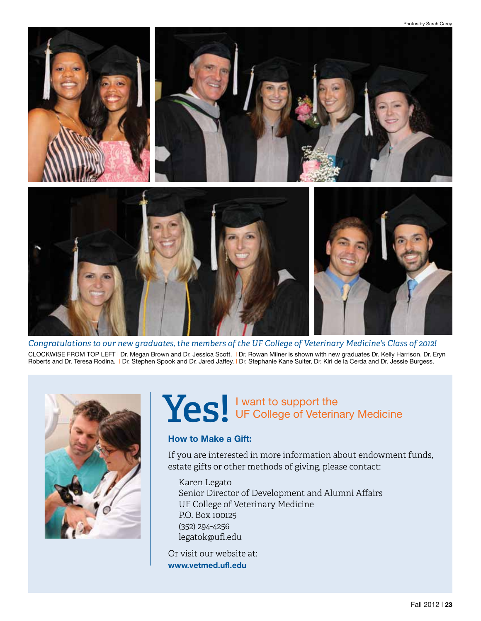

*Congratulations to our new graduates, the members of the UF College of Veterinary Medicine's Class of 2012!*  CLOCKWISE FROM TOP LEFT | Dr. Megan Brown and Dr. Jessica Scott. | Dr. Rowan Milner is shown with new graduates Dr. Kelly Harrison, Dr. Eryn Roberts and Dr. Teresa Rodina. | Dr. Stephen Spook and Dr. Jared Jaffey. | Dr. Stephanie Kane Suiter, Dr. Kiri de la Cerda and Dr. Jessie Burgess.



#### I want to support the UF College of Veterinary Medicine **Yes!**

#### How to Make a Gift:

If you are interested in more information about endowment funds, estate gifts or other methods of giving, please contact:

Karen Legato Senior Director of Development and Alumni Affairs UF College of Veterinary Medicine P.O. Box 100125 (352) 294-4256 legatok@ufl.edu

Or visit our website at: www.vetmed.ufl.edu